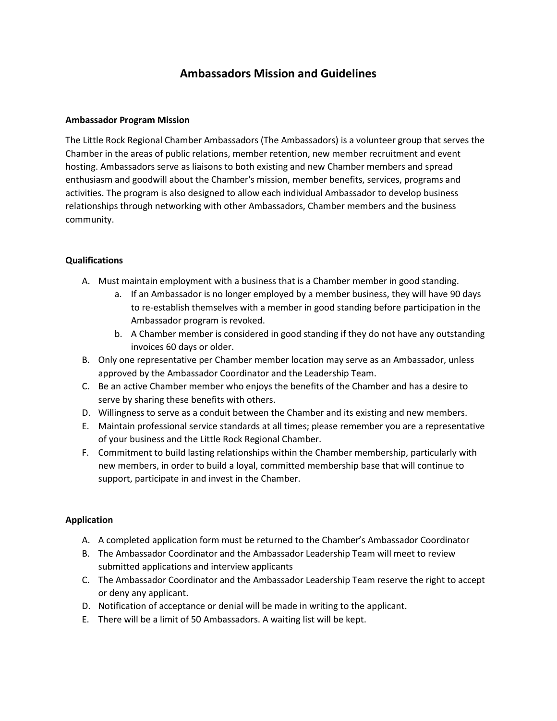# **Ambassadors Mission and Guidelines**

#### **Ambassador Program Mission**

The Little Rock Regional Chamber Ambassadors (The Ambassadors) is a volunteer group that serves the Chamber in the areas of public relations, member retention, new member recruitment and event hosting. Ambassadors serve as liaisons to both existing and new Chamber members and spread enthusiasm and goodwill about the Chamber's mission, member benefits, services, programs and activities. The program is also designed to allow each individual Ambassador to develop business relationships through networking with other Ambassadors, Chamber members and the business community.

# **Qualifications**

- A. Must maintain employment with a business that is a Chamber member in good standing.
	- a. If an Ambassador is no longer employed by a member business, they will have 90 days to re-establish themselves with a member in good standing before participation in the Ambassador program is revoked.
	- b. A Chamber member is considered in good standing if they do not have any outstanding invoices 60 days or older.
- B. Only one representative per Chamber member location may serve as an Ambassador, unless approved by the Ambassador Coordinator and the Leadership Team.
- C. Be an active Chamber member who enjoys the benefits of the Chamber and has a desire to serve by sharing these benefits with others.
- D. Willingness to serve as a conduit between the Chamber and its existing and new members.
- E. Maintain professional service standards at all times; please remember you are a representative of your business and the Little Rock Regional Chamber.
- F. Commitment to build lasting relationships within the Chamber membership, particularly with new members, in order to build a loyal, committed membership base that will continue to support, participate in and invest in the Chamber.

# **Application**

- A. A completed application form must be returned to the Chamber's Ambassador Coordinator
- B. The Ambassador Coordinator and the Ambassador Leadership Team will meet to review submitted applications and interview applicants
- C. The Ambassador Coordinator and the Ambassador Leadership Team reserve the right to accept or deny any applicant.
- D. Notification of acceptance or denial will be made in writing to the applicant.
- E. There will be a limit of 50 Ambassadors. A waiting list will be kept.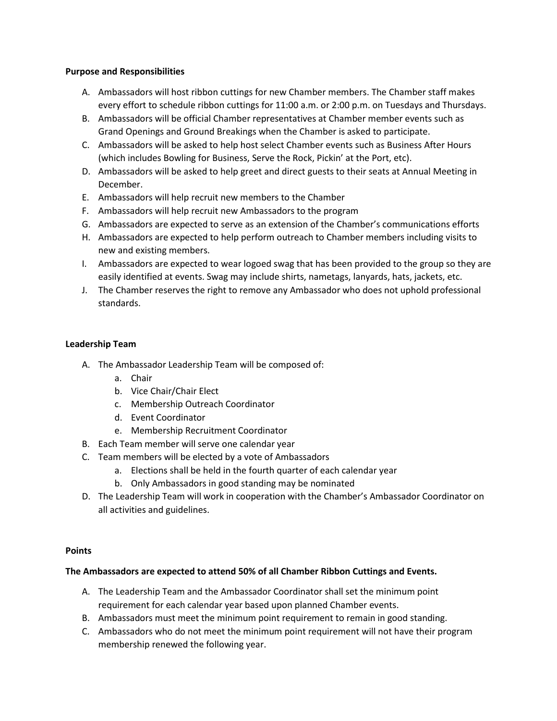#### **Purpose and Responsibilities**

- A. Ambassadors will host ribbon cuttings for new Chamber members. The Chamber staff makes every effort to schedule ribbon cuttings for 11:00 a.m. or 2:00 p.m. on Tuesdays and Thursdays.
- B. Ambassadors will be official Chamber representatives at Chamber member events such as Grand Openings and Ground Breakings when the Chamber is asked to participate.
- C. Ambassadors will be asked to help host select Chamber events such as Business After Hours (which includes Bowling for Business, Serve the Rock, Pickin' at the Port, etc).
- D. Ambassadors will be asked to help greet and direct guests to their seats at Annual Meeting in December.
- E. Ambassadors will help recruit new members to the Chamber
- F. Ambassadors will help recruit new Ambassadors to the program
- G. Ambassadors are expected to serve as an extension of the Chamber's communications efforts
- H. Ambassadors are expected to help perform outreach to Chamber members including visits to new and existing members.
- I. Ambassadors are expected to wear logoed swag that has been provided to the group so they are easily identified at events. Swag may include shirts, nametags, lanyards, hats, jackets, etc.
- J. The Chamber reserves the right to remove any Ambassador who does not uphold professional standards.

# **Leadership Team**

- A. The Ambassador Leadership Team will be composed of:
	- a. Chair
	- b. Vice Chair/Chair Elect
	- c. Membership Outreach Coordinator
	- d. Event Coordinator
	- e. Membership Recruitment Coordinator
- B. Each Team member will serve one calendar year
- C. Team members will be elected by a vote of Ambassadors
	- a. Elections shall be held in the fourth quarter of each calendar year
	- b. Only Ambassadors in good standing may be nominated
- D. The Leadership Team will work in cooperation with the Chamber's Ambassador Coordinator on all activities and guidelines.

#### **Points**

#### **The Ambassadors are expected to attend 50% of all Chamber Ribbon Cuttings and Events.**

- A. The Leadership Team and the Ambassador Coordinator shall set the minimum point requirement for each calendar year based upon planned Chamber events.
- B. Ambassadors must meet the minimum point requirement to remain in good standing.
- C. Ambassadors who do not meet the minimum point requirement will not have their program membership renewed the following year.